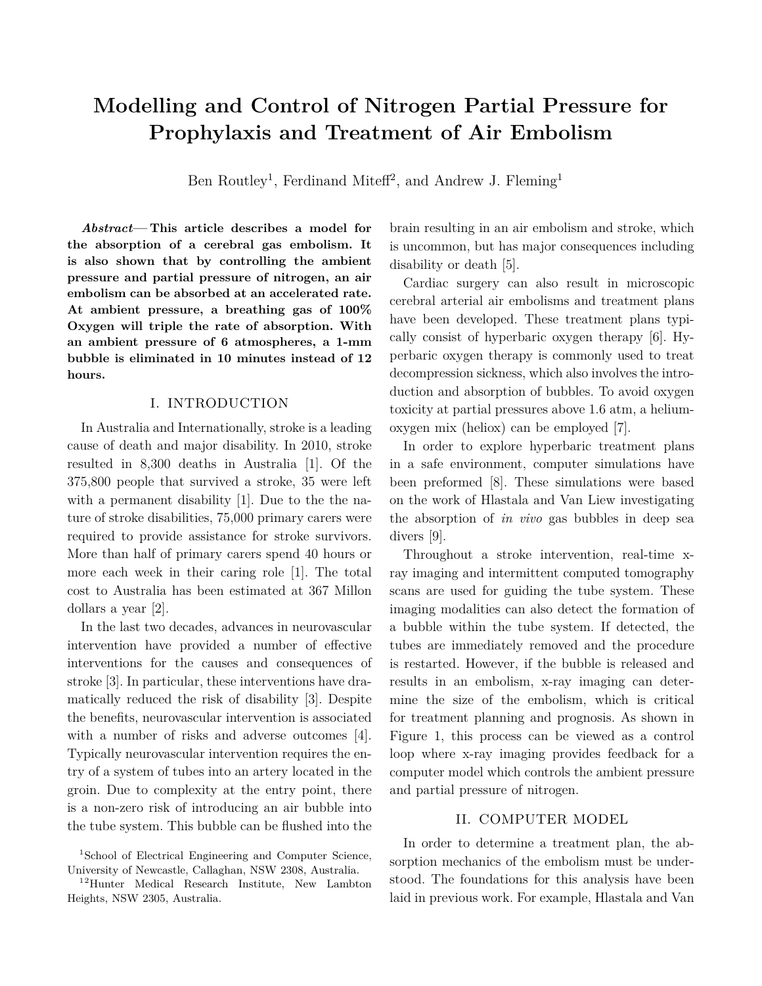# **Modelling and Control of Nitrogen Partial Pressure for Prophylaxis and Treatment of Air Embolism**

Ben Routley<sup>1</sup>, Ferdinand Miteff<sup>2</sup>, and Andrew J. Fleming<sup>1</sup>

*Abstract***— This article describes a model for the absorption of a cerebral gas embolism. It is also shown that by controlling the ambient pressure and partial pressure of nitrogen, an air embolism can be absorbed at an accelerated rate. At ambient pressure, a breathing gas of 100% Oxygen will triple the rate of absorption. With an ambient pressure of 6 atmospheres, a 1-mm bubble is eliminated in 10 minutes instead of 12 hours.**

## I. INTRODUCTION

In Australia and Internationally, stroke is a leading cause of death and major disability. In 2010, stroke resulted in 8,300 deaths in Australia [1]. Of the 375,800 people that survived a stroke, 35 were left with a permanent disability [1]. Due to the the nature of stroke disabilities, 75,000 primary carers were required to provide assistance for stroke survivors. More than half of primary carers spend 40 hours or more each week in their caring role [1]. The total cost to Australia has been estimated at 367 Millon dollars a year [2].

In the last two decades, advances in neurovascular intervention have provided a number of effective interventions for the causes and consequences of stroke [3]. In particular, these interventions have dramatically reduced the risk of disability [3]. Despite the benefits, neurovascular intervention is associated with a number of risks and adverse outcomes [4]. Typically neurovascular intervention requires the entry of a system of tubes into an artery located in the groin. Due to complexity at the entry point, there is a non-zero risk of introducing an air bubble into the tube system. This bubble can be flushed into the brain resulting in an air embolism and stroke, which is uncommon, but has major consequences including disability or death [5].

Cardiac surgery can also result in microscopic cerebral arterial air embolisms and treatment plans have been developed. These treatment plans typically consist of hyperbaric oxygen therapy [6]. Hyperbaric oxygen therapy is commonly used to treat decompression sickness, which also involves the introduction and absorption of bubbles. To avoid oxygen toxicity at partial pressures above 1.6 atm, a heliumoxygen mix (heliox) can be employed [7].

In order to explore hyperbaric treatment plans in a safe environment, computer simulations have been preformed [8]. These simulations were based on the work of Hlastala and Van Liew investigating the absorption of *in vivo* gas bubbles in deep sea divers [9].

Throughout a stroke intervention, real-time xray imaging and intermittent computed tomography scans are used for guiding the tube system. These imaging modalities can also detect the formation of a bubble within the tube system. If detected, the tubes are immediately removed and the procedure is restarted. However, if the bubble is released and results in an embolism, x-ray imaging can determine the size of the embolism, which is critical for treatment planning and prognosis. As shown in Figure 1, this process can be viewed as a control loop where x-ray imaging provides feedback for a computer model which controls the ambient pressure and partial pressure of nitrogen.

## II. COMPUTER MODEL

In order to determine a treatment plan, the absorption mechanics of the embolism must be understood. The foundations for this analysis have been laid in previous work. For example, Hlastala and Van

<sup>&</sup>lt;sup>1</sup>School of Electrical Engineering and Computer Science, University of Newcastle, Callaghan, NSW 2308, Australia.

<sup>12</sup>Hunter Medical Research Institute, New Lambton Heights, NSW 2305, Australia.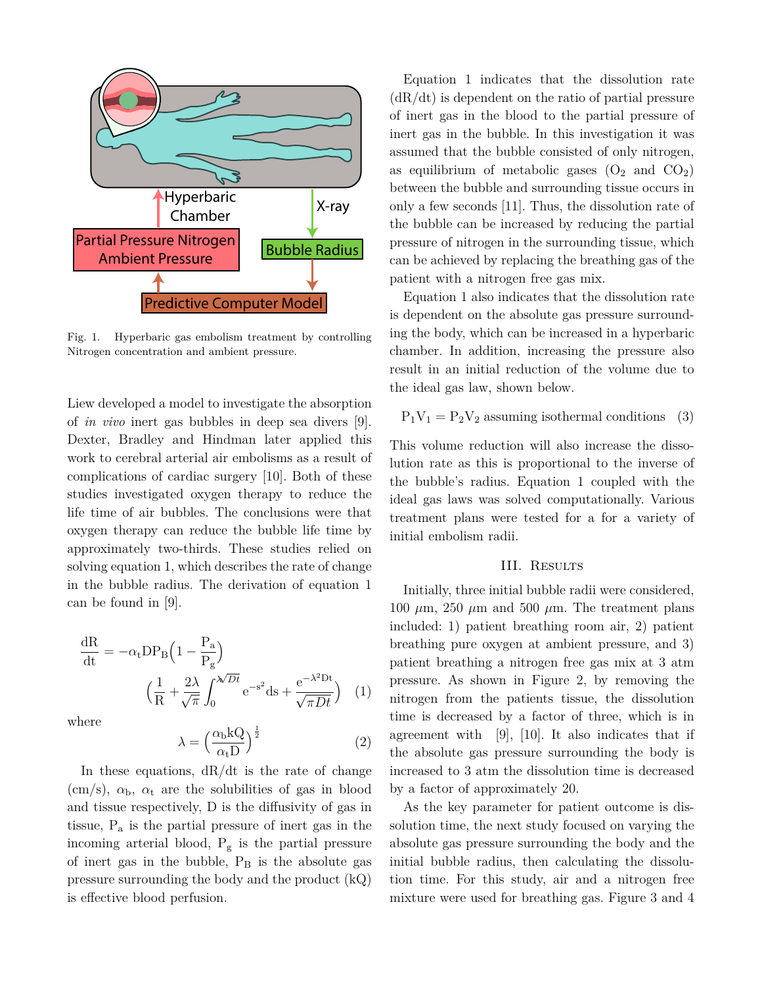

Fig. 1. Hyperbaric gas embolism treatment by controlling Nitrogen concentration and ambient pressure.

Liew developed a model to investigate the absorption of *in vivo* inert gas bubbles in deep sea divers [9]. Dexter, Bradley and Hindman later applied this work to cerebral arterial air embolisms as a result of complications of cardiac surgery [10]. Both of these studies investigated oxygen therapy to reduce the life time of air bubbles. The conclusions were that oxygen therapy can reduce the bubble life time by approximately two-thirds. These studies relied on solving equation 1, which describes the rate of change in the bubble radius. The derivation of equation 1 can be found in [9].

$$
\frac{dR}{dt} = -\alpha_t DP_B \left( 1 - \frac{P_a}{P_g} \right)
$$

$$
\left( \frac{1}{R} + \frac{2\lambda}{\sqrt{\pi}} \int_0^{\sqrt{Dt}} e^{-s^2} ds + \frac{e^{-\lambda^2 Dt}}{\sqrt{\pi Dt}} \right) (1)
$$

where

$$
\lambda = \left(\frac{\alpha_{\rm b} kQ}{\alpha_{\rm t} D}\right)^{\frac{1}{2}}\tag{2}
$$

In these equations, dR/dt is the rate of change (cm/s),  $\alpha_{\rm b}$ ,  $\alpha_{\rm t}$  are the solubilities of gas in blood and tissue respectively, D is the diffusivity of gas in tissue, P<sup>a</sup> is the partial pressure of inert gas in the incoming arterial blood,  $P_g$  is the partial pressure of inert gas in the bubble,  $P_B$  is the absolute gas pressure surrounding the body and the product (kQ) is effective blood perfusion.

Equation 1 indicates that the dissolution rate  $(dR/dt)$  is dependent on the ratio of partial pressure of inert gas in the blood to the partial pressure of inert gas in the bubble. In this investigation it was assumed that the bubble consisted of only nitrogen, as equilibrium of metabolic gases  $(O_2 \text{ and } CO_2)$ between the bubble and surrounding tissue occurs in only a few seconds [11]. Thus, the dissolution rate of the bubble can be increased by reducing the partial pressure of nitrogen in the surrounding tissue, which can be achieved by replacing the breathing gas of the patient with a nitrogen free gas mix.

Equation 1 also indicates that the dissolution rate is dependent on the absolute gas pressure surrounding the body, which can be increased in a hyperbaric chamber. In addition, increasing the pressure also result in an initial reduction of the volume due to the ideal gas law, shown below.

$$
P_1V_1 = P_2V_2
$$
 assuming isothermal conditions (3)

This volume reduction will also increase the dissolution rate as this is proportional to the inverse of the bubble's radius. Equation 1 coupled with the ideal gas laws was solved computationally. Various treatment plans were tested for a for a variety of initial embolism radii.

#### III. Results

Initially, three initial bubble radii were considered, 100  $\mu$ m, 250  $\mu$ m and 500  $\mu$ m. The treatment plans included: 1) patient breathing room air, 2) patient breathing pure oxygen at ambient pressure, and 3) patient breathing a nitrogen free gas mix at 3 atm pressure. As shown in Figure 2, by removing the nitrogen from the patients tissue, the dissolution time is decreased by a factor of three, which is in agreement with [9], [10]. It also indicates that if the absolute gas pressure surrounding the body is increased to 3 atm the dissolution time is decreased by a factor of approximately 20.

As the key parameter for patient outcome is dissolution time, the next study focused on varying the absolute gas pressure surrounding the body and the initial bubble radius, then calculating the dissolution time. For this study, air and a nitrogen free mixture were used for breathing gas. Figure 3 and 4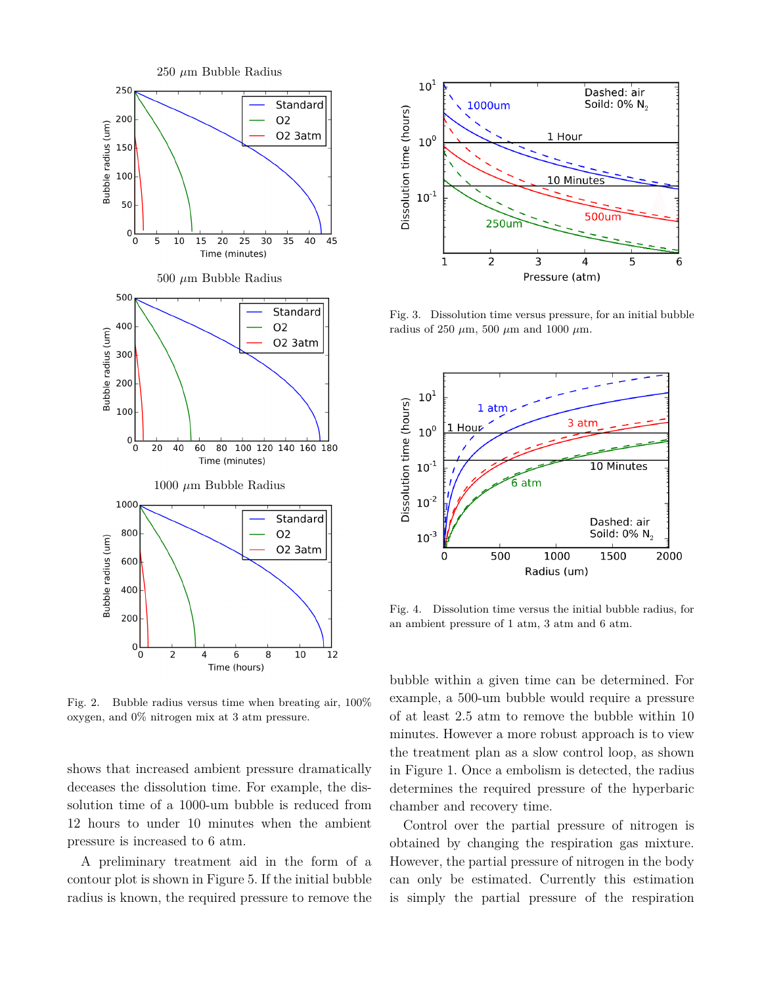

Fig. 2. Bubble radius versus time when breating air, 100% oxygen, and 0% nitrogen mix at 3 atm pressure.

shows that increased ambient pressure dramatically deceases the dissolution time. For example, the dissolution time of a 1000-um bubble is reduced from 12 hours to under 10 minutes when the ambient pressure is increased to 6 atm.

A preliminary treatment aid in the form of a contour plot is shown in Figure 5. If the initial bubble radius is known, the required pressure to remove the



Fig. 3. Dissolution time versus pressure, for an initial bubble radius of 250 *µ*m, 500 *µ*m and 1000 *µ*m.



Fig. 4. Dissolution time versus the initial bubble radius, for an ambient pressure of 1 atm, 3 atm and 6 atm.

bubble within a given time can be determined. For example, a 500-um bubble would require a pressure of at least 2.5 atm to remove the bubble within 10 minutes. However a more robust approach is to view the treatment plan as a slow control loop, as shown in Figure 1. Once a embolism is detected, the radius determines the required pressure of the hyperbaric chamber and recovery time.

Control over the partial pressure of nitrogen is obtained by changing the respiration gas mixture. However, the partial pressure of nitrogen in the body can only be estimated. Currently this estimation is simply the partial pressure of the respiration